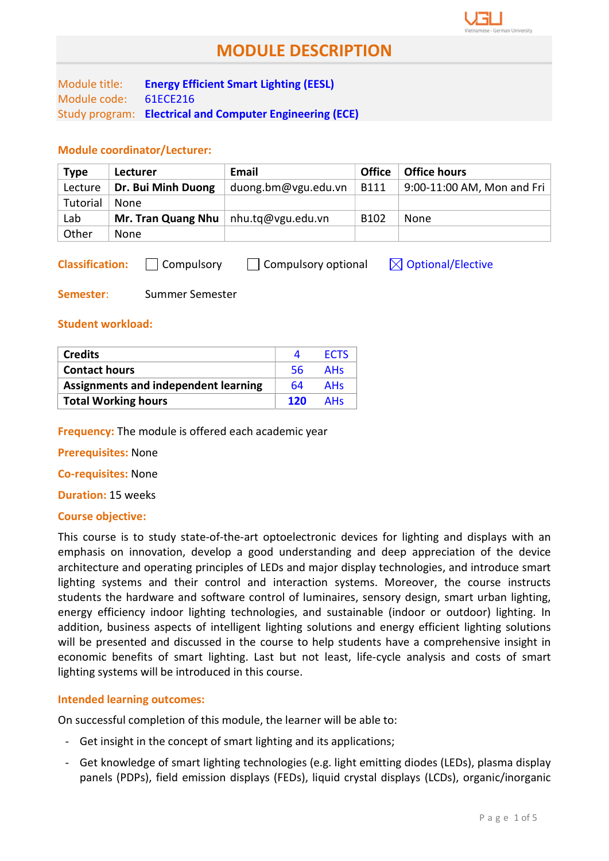Module title: Energy Efficient Smart Lighting (EESL) Module code: 61ECE216 Study program: Electrical and Computer Engineering (ECE)

## Module coordinator/Lecturer:

| <b>Type</b> | Lecturer           | Email               | <b>Office</b>    | <b>Office hours</b>        |
|-------------|--------------------|---------------------|------------------|----------------------------|
| Lecture     | Dr. Bui Minh Duong | duong.bm@vgu.edu.vn | <b>B111</b>      | 9:00-11:00 AM, Mon and Fri |
| Tutorial    | None               |                     |                  |                            |
| Lab         | Mr. Tran Quang Nhu | nhu.tq@vgu.edu.vn   | B <sub>102</sub> | None                       |
| Other       | None               |                     |                  |                            |

**Classification:**  $\Box$  Compulsory  $\Box$  Compulsory optional  $\Box$  Optional/Elective

Semester: Summer Semester

### Student workload:

| <b>Credits</b>                              |     | <b>FCTS</b> |
|---------------------------------------------|-----|-------------|
| <b>Contact hours</b>                        | -56 | <b>AHs</b>  |
| <b>Assignments and independent learning</b> | 64  | <b>AHs</b>  |
| <b>Total Working hours</b>                  | 120 | <b>AHs</b>  |

**Frequency:** The module is offered each academic year

Prerequisites: None

Co-requisites: None

Duration: 15 weeks

## Course objective:

This course is to study state-of-the-art optoelectronic devices for lighting and displays with an emphasis on innovation, develop a good understanding and deep appreciation of the device architecture and operating principles of LEDs and major display technologies, and introduce smart lighting systems and their control and interaction systems. Moreover, the course instructs students the hardware and software control of luminaires, sensory design, smart urban lighting, energy efficiency indoor lighting technologies, and sustainable (indoor or outdoor) lighting. In addition, business aspects of intelligent lighting solutions and energy efficient lighting solutions will be presented and discussed in the course to help students have a comprehensive insight in economic benefits of smart lighting. Last but not least, life-cycle analysis and costs of smart lighting systems will be introduced in this course.

#### Intended learning outcomes:

On successful completion of this module, the learner will be able to:

- Get insight in the concept of smart lighting and its applications;
- Get knowledge of smart lighting technologies (e.g. light emitting diodes (LEDs), plasma display panels (PDPs), field emission displays (FEDs), liquid crystal displays (LCDs), organic/inorganic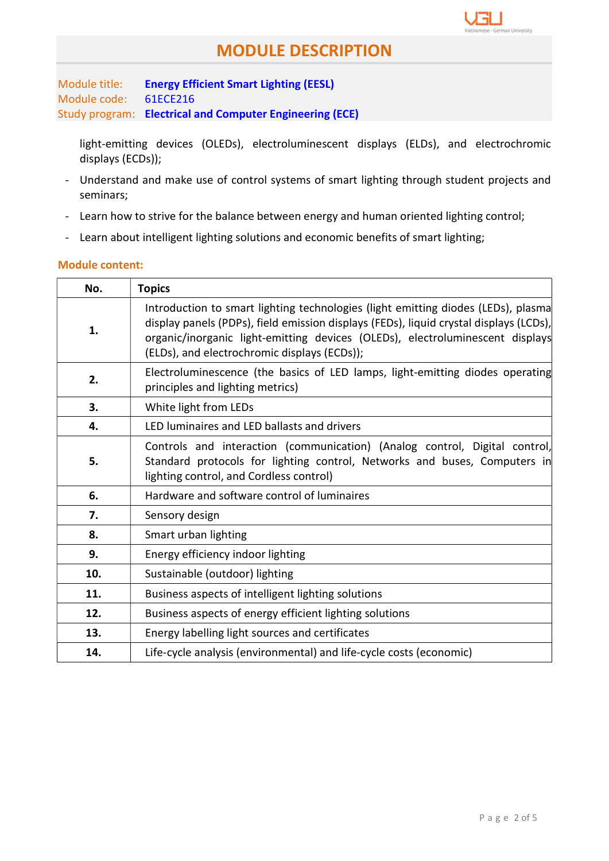

Module title: Energy Efficient Smart Lighting (EESL) Module code: 61ECE216 Study program: Electrical and Computer Engineering (ECE)

light-emitting devices (OLEDs), electroluminescent displays (ELDs), and electrochromic displays (ECDs));

- Understand and make use of control systems of smart lighting through student projects and seminars;
- Learn how to strive for the balance between energy and human oriented lighting control;
- Learn about intelligent lighting solutions and economic benefits of smart lighting;

## Module content:

| No. | <b>Topics</b>                                                                                                                                                                                                                                                                                                |
|-----|--------------------------------------------------------------------------------------------------------------------------------------------------------------------------------------------------------------------------------------------------------------------------------------------------------------|
| 1.  | Introduction to smart lighting technologies (light emitting diodes (LEDs), plasma<br>display panels (PDPs), field emission displays (FEDs), liquid crystal displays (LCDs),<br>organic/inorganic light-emitting devices (OLEDs), electroluminescent displays<br>(ELDs), and electrochromic displays (ECDs)); |
| 2.  | Electroluminescence (the basics of LED lamps, light-emitting diodes operating<br>principles and lighting metrics)                                                                                                                                                                                            |
| 3.  | White light from LEDs                                                                                                                                                                                                                                                                                        |
| 4.  | LED luminaires and LED ballasts and drivers                                                                                                                                                                                                                                                                  |
| 5.  | Controls and interaction (communication) (Analog control, Digital control,<br>Standard protocols for lighting control, Networks and buses, Computers in<br>lighting control, and Cordless control)                                                                                                           |
| 6.  | Hardware and software control of luminaires                                                                                                                                                                                                                                                                  |
| 7.  | Sensory design                                                                                                                                                                                                                                                                                               |
| 8.  | Smart urban lighting                                                                                                                                                                                                                                                                                         |
| 9.  | Energy efficiency indoor lighting                                                                                                                                                                                                                                                                            |
| 10. | Sustainable (outdoor) lighting                                                                                                                                                                                                                                                                               |
| 11. | Business aspects of intelligent lighting solutions                                                                                                                                                                                                                                                           |
| 12. | Business aspects of energy efficient lighting solutions                                                                                                                                                                                                                                                      |
| 13. | Energy labelling light sources and certificates                                                                                                                                                                                                                                                              |
| 14. | Life-cycle analysis (environmental) and life-cycle costs (economic)                                                                                                                                                                                                                                          |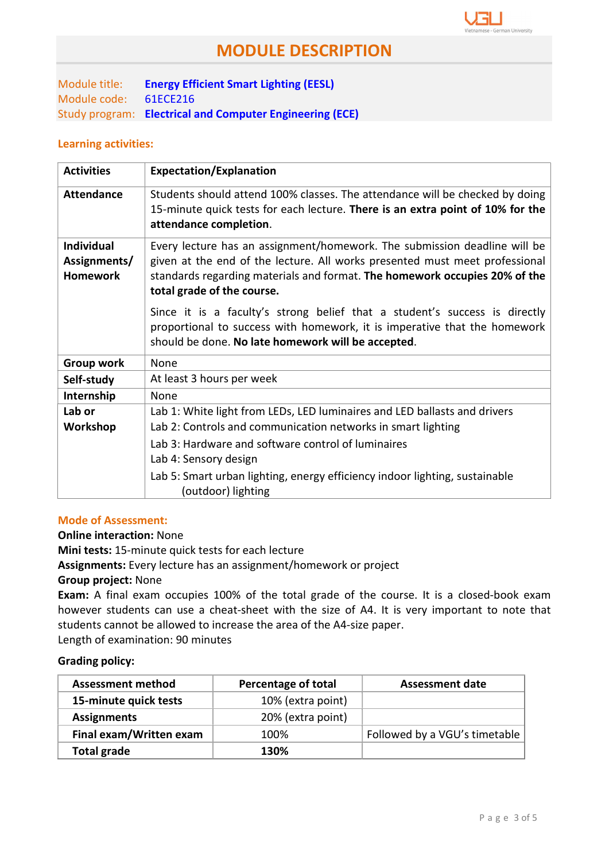

Module title: Energy Efficient Smart Lighting (EESL) Module code: 61ECE216 Study program: Electrical and Computer Engineering (ECE)

### Learning activities:

| <b>Activities</b>                                    | <b>Expectation/Explanation</b>                                                                                                                                                                                                                                       |
|------------------------------------------------------|----------------------------------------------------------------------------------------------------------------------------------------------------------------------------------------------------------------------------------------------------------------------|
| <b>Attendance</b>                                    | Students should attend 100% classes. The attendance will be checked by doing<br>15-minute quick tests for each lecture. There is an extra point of 10% for the<br>attendance completion.                                                                             |
| <b>Individual</b><br>Assignments/<br><b>Homework</b> | Every lecture has an assignment/homework. The submission deadline will be<br>given at the end of the lecture. All works presented must meet professional<br>standards regarding materials and format. The homework occupies 20% of the<br>total grade of the course. |
|                                                      | Since it is a faculty's strong belief that a student's success is directly<br>proportional to success with homework, it is imperative that the homework<br>should be done. No late homework will be accepted.                                                        |
| <b>Group work</b>                                    | <b>None</b>                                                                                                                                                                                                                                                          |
| Self-study                                           | At least 3 hours per week                                                                                                                                                                                                                                            |
| Internship                                           | None                                                                                                                                                                                                                                                                 |
| Lab or                                               | Lab 1: White light from LEDs, LED luminaires and LED ballasts and drivers                                                                                                                                                                                            |
| Workshop                                             | Lab 2: Controls and communication networks in smart lighting                                                                                                                                                                                                         |
|                                                      | Lab 3: Hardware and software control of luminaires<br>Lab 4: Sensory design                                                                                                                                                                                          |
|                                                      | Lab 5: Smart urban lighting, energy efficiency indoor lighting, sustainable<br>(outdoor) lighting                                                                                                                                                                    |

## Mode of Assessment:

### Online interaction: None

Mini tests: 15-minute quick tests for each lecture

Assignments: Every lecture has an assignment/homework or project

#### Group project: None

Exam: A final exam occupies 100% of the total grade of the course. It is a closed-book exam however students can use a cheat-sheet with the size of A4. It is very important to note that students cannot be allowed to increase the area of the A4-size paper.

Length of examination: 90 minutes

### Grading policy:

| <b>Assessment method</b> | Percentage of total | <b>Assessment date</b>        |
|--------------------------|---------------------|-------------------------------|
| 15-minute quick tests    | 10% (extra point)   |                               |
| <b>Assignments</b>       | 20% (extra point)   |                               |
| Final exam/Written exam  | 100%                | Followed by a VGU's timetable |
| Total grade              | 130%                |                               |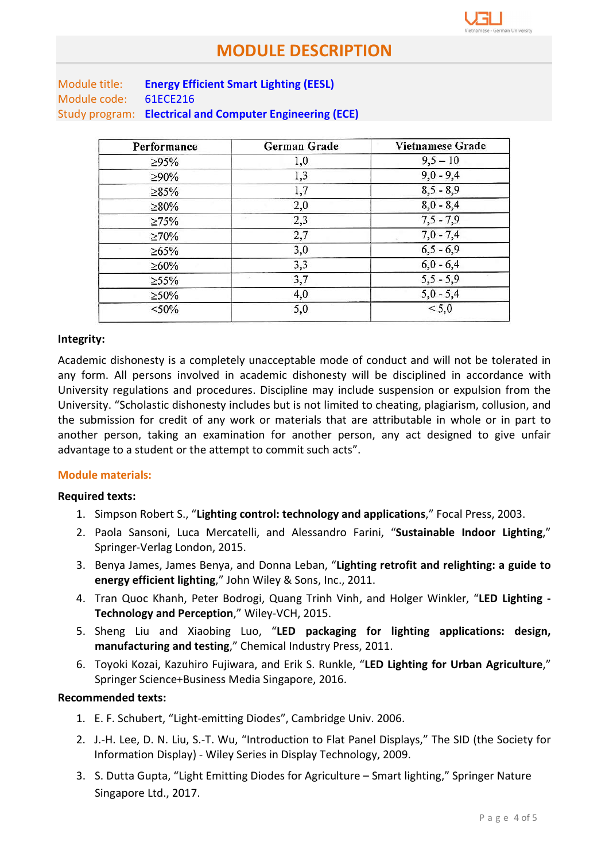| Module title: | <b>Energy Efficient Smart Lighting (EESL)</b>            |
|---------------|----------------------------------------------------------|
| Module code:  | 61ECE216                                                 |
|               | Study program: Electrical and Computer Engineering (ECE) |

| Performance | German Grade | Vietnamese Grade |
|-------------|--------------|------------------|
| $\geq 95\%$ | 1,0          | $9,5 - 10$       |
| $>90\%$     | 1,3          | $9,0 - 9,4$      |
| $\geq 85\%$ | 1,7          | $8,5 - 8,9$      |
| $\geq 80\%$ | 2,0          | $8,0 - 8,4$      |
| $\geq 75\%$ | 2,3          | $7,5 - 7,9$      |
| $\geq 70\%$ | 2,7          | $7,0 - 7,4$      |
| $\geq 65\%$ | 3,0          | $6, 5 - 6, 9$    |
| $\geq 60\%$ | 3,3          | $6,0 - 6,4$      |
| $\geq 55\%$ | 3,7          | $5,5 - 5,9$      |
| $\geq 50\%$ | 4,0          | $5,0 - 5,4$      |
| $< 50\%$    | 5,0          | < 5,0            |
|             |              |                  |

### Integrity:

Academic dishonesty is a completely unacceptable mode of conduct and will not be tolerated in any form. All persons involved in academic dishonesty will be disciplined in accordance with University regulations and procedures. Discipline may include suspension or expulsion from the University. "Scholastic dishonesty includes but is not limited to cheating, plagiarism, collusion, and the submission for credit of any work or materials that are attributable in whole or in part to another person, taking an examination for another person, any act designed to give unfair advantage to a student or the attempt to commit such acts".

#### Module materials:

#### Required texts:

- 1. Simpson Robert S., "Lighting control: technology and applications," Focal Press, 2003.
- 2. Paola Sansoni, Luca Mercatelli, and Alessandro Farini, "Sustainable Indoor Lighting," Springer-Verlag London, 2015.
- 3. Benya James, James Benya, and Donna Leban, "Lighting retrofit and relighting: a guide to energy efficient lighting," John Wiley & Sons, Inc., 2011.
- 4. Tran Quoc Khanh, Peter Bodrogi, Quang Trinh Vinh, and Holger Winkler, "LED Lighting -Technology and Perception," Wiley-VCH, 2015.
- 5. Sheng Liu and Xiaobing Luo, "LED packaging for lighting applications: design, manufacturing and testing," Chemical Industry Press, 2011.
- 6. Toyoki Kozai, Kazuhiro Fujiwara, and Erik S. Runkle, "LED Lighting for Urban Agriculture," Springer Science+Business Media Singapore, 2016.

#### Recommended texts:

- 1. E. F. Schubert, "Light-emitting Diodes", Cambridge Univ. 2006.
- 2. J.-H. Lee, D. N. Liu, S.-T. Wu, "Introduction to Flat Panel Displays," The SID (the Society for Information Display) - Wiley Series in Display Technology, 2009.
- 3. S. Dutta Gupta, "Light Emitting Diodes for Agriculture Smart lighting," Springer Nature Singapore Ltd., 2017.